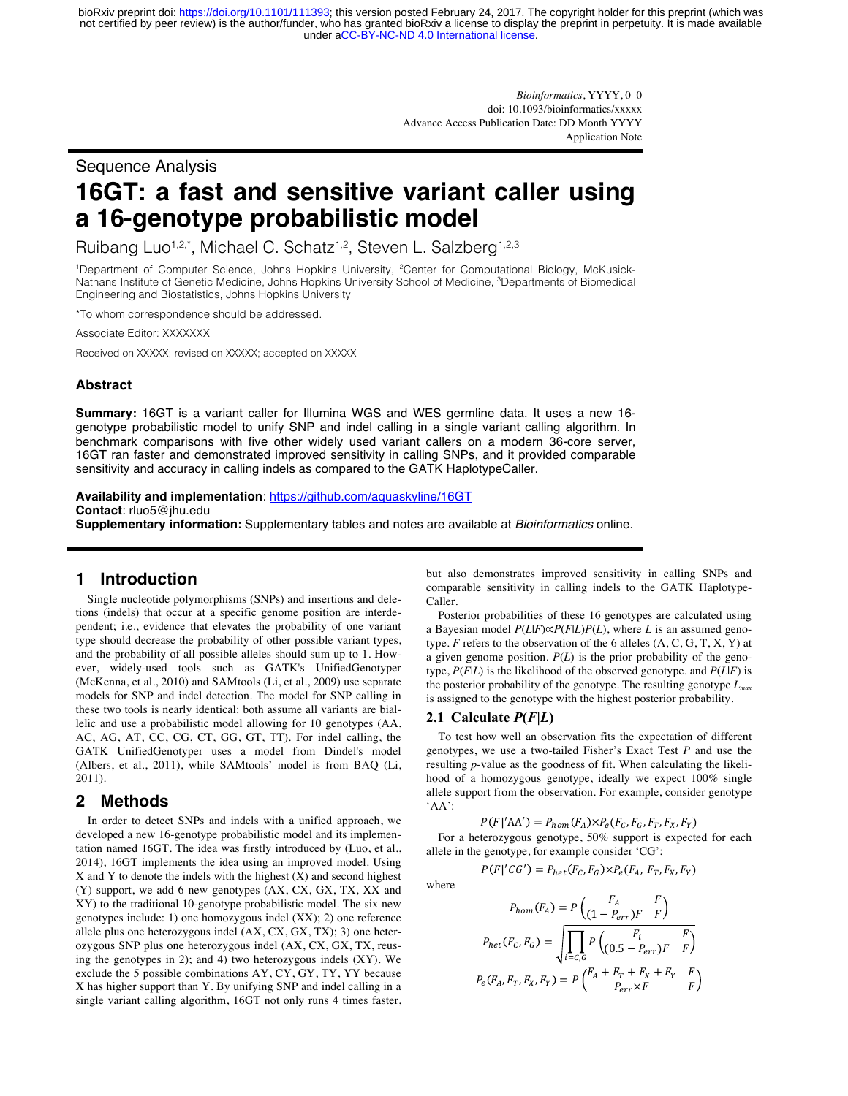under [aCC-BY-NC-ND 4.0 International license.](http://creativecommons.org/licenses/by-nc-nd/4.0/) not certified by peer review) is the author/funder, who has granted bioRxiv a license to display the preprint in perpetuity. It is made available bioRxiv preprint doi: [https://doi.org/10.1101/111393;](https://doi.org/10.1101/111393) this version posted February 24, 2017. The copyright holder for this preprint (which was

> *Bioinformatics*, YYYY, 0–0 doi: 10.1093/bioinformatics/xxxxx Advance Access Publication Date: DD Month YYYY Application Note

## Sequence Analysis

# **16GT: a fast and sensitive variant caller using a 16-genotype probabilistic model**

Ruibang Luo<sup>1,2,\*</sup>, Michael C. Schatz<sup>1,2</sup>, Steven L. Salzberg<sup>1,2,3</sup>

<sup>1</sup>Department of Computer Science, Johns Hopkins University, <sup>2</sup>Center for Computational Biology, McKusick-Nathans Institute of Genetic Medicine, Johns Hopkins University School of Medicine, <sup>3</sup>Departments of Biomedical Engineering and Biostatistics, Johns Hopkins University

\*To whom correspondence should be addressed.

Associate Editor: XXXXXXX

Received on XXXXX; revised on XXXXX; accepted on XXXXX

#### **Abstract**

**Summary:** 16GT is a variant caller for Illumina WGS and WES germline data. It uses a new 16 genotype probabilistic model to unify SNP and indel calling in a single variant calling algorithm. In benchmark comparisons with five other widely used variant callers on a modern 36-core server, 16GT ran faster and demonstrated improved sensitivity in calling SNPs, and it provided comparable sensitivity and accuracy in calling indels as compared to the GATK HaplotypeCaller.

**Availability and implementation**: https://github.com/aquaskyline/16GT **Contact**: rluo5@jhu.edu **Supplementary information:** Supplementary tables and notes are available at *Bioinformatics* online.

### **1 Introduction**

 Single nucleotide polymorphisms (SNPs) and insertions and deletions (indels) that occur at a specific genome position are interdependent; i.e., evidence that elevates the probability of one variant type should decrease the probability of other possible variant types, and the probability of all possible alleles should sum up to 1. However, widely-used tools such as GATK's UnifiedGenotyper (McKenna, et al., 2010) and SAMtools (Li, et al., 2009) use separate models for SNP and indel detection. The model for SNP calling in these two tools is nearly identical: both assume all variants are biallelic and use a probabilistic model allowing for 10 genotypes (AA, AC, AG, AT, CC, CG, CT, GG, GT, TT). For indel calling, the GATK UnifiedGenotyper uses a model from Dindel's model (Albers, et al., 2011), while SAMtools' model is from BAQ (Li, 2011).

#### **2 Methods**

 In order to detect SNPs and indels with a unified approach, we developed a new 16-genotype probabilistic model and its implementation named 16GT. The idea was firstly introduced by (Luo, et al., 2014), 16GT implements the idea using an improved model. Using  $X$  and  $Y$  to denote the indels with the highest  $(X)$  and second highest (Y) support, we add 6 new genotypes (AX, CX, GX, TX, XX and XY) to the traditional 10-genotype probabilistic model. The six new genotypes include: 1) one homozygous indel (XX); 2) one reference allele plus one heterozygous indel (AX, CX, GX, TX); 3) one heterozygous SNP plus one heterozygous indel (AX, CX, GX, TX, reusing the genotypes in 2); and 4) two heterozygous indels (XY). We exclude the 5 possible combinations AY, CY, GY, TY, YY because X has higher support than Y. By unifying SNP and indel calling in a single variant calling algorithm, 16GT not only runs 4 times faster, but also demonstrates improved sensitivity in calling SNPs and comparable sensitivity in calling indels to the GATK Haplotype-Caller.

 Posterior probabilities of these 16 genotypes are calculated using a Bayesian model *P*(*L*|*F*)∝*P*(*F*|*L*)*P*(*L*), where *L* is an assumed genotype.  $F$  refers to the observation of the 6 alleles  $(A, C, G, T, X, Y)$  at a given genome position.  $P(L)$  is the prior probability of the genotype, *P*(*F*|*L*) is the likelihood of the observed genotype. and *P*(*L*|*F*) is the posterior probability of the genotype. The resulting genotype *Lmax* is assigned to the genotype with the highest posterior probability.

#### **2.1 Calculate** *P***(***F***|***L***)**

 To test how well an observation fits the expectation of different genotypes, we use a two-tailed Fisher's Exact Test *P* and use the resulting *p*-value as the goodness of fit. When calculating the likelihood of a homozygous genotype, ideally we expect 100% single allele support from the observation. For example, consider genotype  $'AA'$ :

$$
P(F|'AA') = P_{hom}(F_A) \times P_e(F_C, F_G, F_T, F_X, F_Y)
$$

 For a heterozygous genotype, 50% support is expected for each allele in the genotype, for example consider 'CG':  $P(F|'CG') = P_{het}(F_C, F_G) \times P_e(F_A, F_T, F_X, F_Y)$ 

where

$$
P_{hom}(F_A) = P\begin{pmatrix} F_A & F \\ (1 - P_{err})F & F \end{pmatrix}
$$

$$
P_{het}(F_C, F_G) = \sqrt{\prod_{i=C,G} P\begin{pmatrix} F_i & F \\ (0.5 - P_{err})F & F \end{pmatrix}}
$$

$$
P_e(F_A, F_T, F_X, F_Y) = P\begin{pmatrix} F_A + F_T + F_X + F_Y & F \\ P_{err} \times F & F \end{pmatrix}
$$